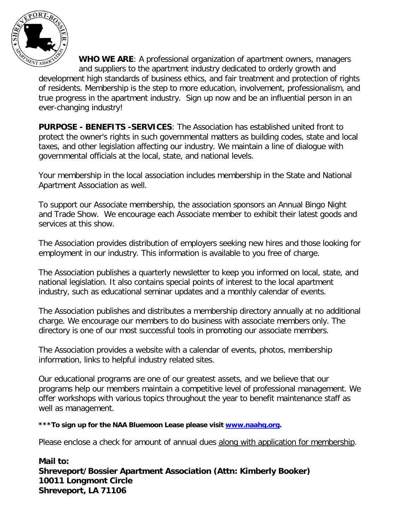

**WHO WE ARE**: A professional organization of apartment owners, managers and suppliers to the apartment industry dedicated to orderly growth and development high standards of business ethics, and fair treatment and protection of rights of residents. Membership is the step to more education, involvement, professionalism, and true progress in the apartment industry. Sign up now and be an influential person in an ever-changing industry!

**PURPOSE - BENEFITS -SERVICES**: The Association has established united front to protect the owner's rights in such governmental matters as building codes, state and local taxes, and other legislation affecting our industry. We maintain a line of dialogue with governmental officials at the local, state, and national levels.

Your membership in the local association includes membership in the State and National Apartment Association as well.

To support our Associate membership, the association sponsors an Annual Bingo Night and Trade Show. We encourage each Associate member to exhibit their latest goods and services at this show.

The Association provides distribution of employers seeking new hires and those looking for employment in our industry. This information is available to you free of charge.

The Association publishes a quarterly newsletter to keep you informed on local, state, and national legislation. It also contains special points of interest to the local apartment industry, such as educational seminar updates and a monthly calendar of events.

The Association publishes and distributes a membership directory annually at no additional charge. We encourage our members to do business with associate members only. The directory is one of our most successful tools in promoting our associate members.

The Association provides a website with a calendar of events, photos, membership information, links to helpful industry related sites.

Our educational programs are one of our greatest assets, and we believe that our programs help our members maintain a competitive level of professional management. We offer workshops with various topics throughout the year to benefit maintenance staff as well as management.

**\*\*\*To sign up for the NAA Bluemoon Lease please visit [www.naahq.org.](http://www.naahq.org/)** 

Please enclose a check for amount of annual dues along with application for membership.

**Mail to: Shreveport/Bossier Apartment Association (Attn: Kimberly Booker) 10011 Longmont Circle Shreveport, LA 71106**